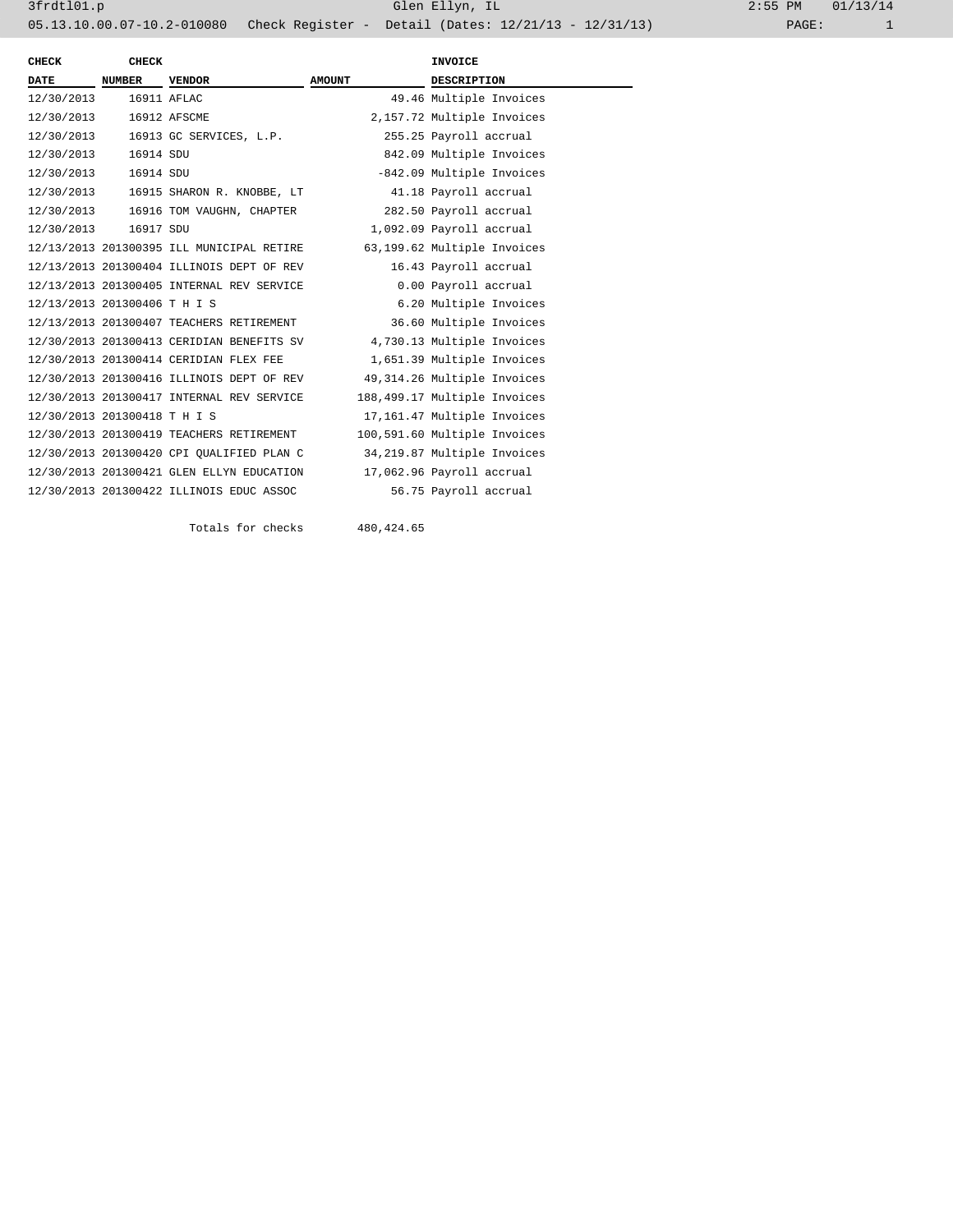| CHECK                        | CHECK       |                                           |               | <b>INVOICE</b>               |
|------------------------------|-------------|-------------------------------------------|---------------|------------------------------|
| <b>DATE</b>                  | NUMBER      | <b>VENDOR</b>                             | <b>AMOUNT</b> | <b>DESCRIPTION</b>           |
| 12/30/2013                   | 16911 AFLAC |                                           |               | 49.46 Multiple Invoices      |
| 12/30/2013                   |             | 16912 AFSCME                              |               | 2,157.72 Multiple Invoices   |
| 12/30/2013                   |             | 16913 GC SERVICES, L.P.                   |               | 255.25 Payroll accrual       |
| 12/30/2013                   | 16914 SDU   |                                           |               | 842.09 Multiple Invoices     |
| 12/30/2013                   | 16914 SDU   |                                           |               | -842.09 Multiple Invoices    |
| 12/30/2013                   |             | 16915 SHARON R. KNOBBE, LT                |               | 41.18 Payroll accrual        |
|                              |             | 12/30/2013 16916 TOM VAUGHN, CHAPTER      |               | 282.50 Payroll accrual       |
| 12/30/2013                   | 16917 SDU   |                                           |               | 1,092.09 Payroll accrual     |
|                              |             | 12/13/2013 201300395 ILL MUNICIPAL RETIRE |               | 63,199.62 Multiple Invoices  |
|                              |             | 12/13/2013 201300404 ILLINOIS DEPT OF REV |               | 16.43 Payroll accrual        |
|                              |             | 12/13/2013 201300405 INTERNAL REV SERVICE |               | 0.00 Payroll accrual         |
| 12/13/2013 201300406 T H I S |             |                                           |               | 6.20 Multiple Invoices       |
|                              |             | 12/13/2013 201300407 TEACHERS RETIREMENT  |               | 36.60 Multiple Invoices      |
|                              |             | 12/30/2013 201300413 CERIDIAN BENEFITS SV |               | 4,730.13 Multiple Invoices   |
|                              |             | 12/30/2013 201300414 CERIDIAN FLEX FEE    |               | 1,651.39 Multiple Invoices   |
|                              |             | 12/30/2013 201300416 ILLINOIS DEPT OF REV |               | 49,314.26 Multiple Invoices  |
|                              |             | 12/30/2013 201300417 INTERNAL REV SERVICE |               | 188,499.17 Multiple Invoices |
| 12/30/2013 201300418 T H I S |             |                                           |               | 17,161.47 Multiple Invoices  |
|                              |             | 12/30/2013 201300419 TEACHERS RETIREMENT  |               | 100,591.60 Multiple Invoices |
|                              |             | 12/30/2013 201300420 CPI QUALIFIED PLAN C |               | 34,219.87 Multiple Invoices  |
|                              |             | 12/30/2013 201300421 GLEN ELLYN EDUCATION |               | 17,062.96 Payroll accrual    |
|                              |             | 12/30/2013 201300422 ILLINOIS EDUC ASSOC  |               | 56.75 Payroll accrual        |
|                              |             |                                           |               |                              |

Totals for checks 480,424.65